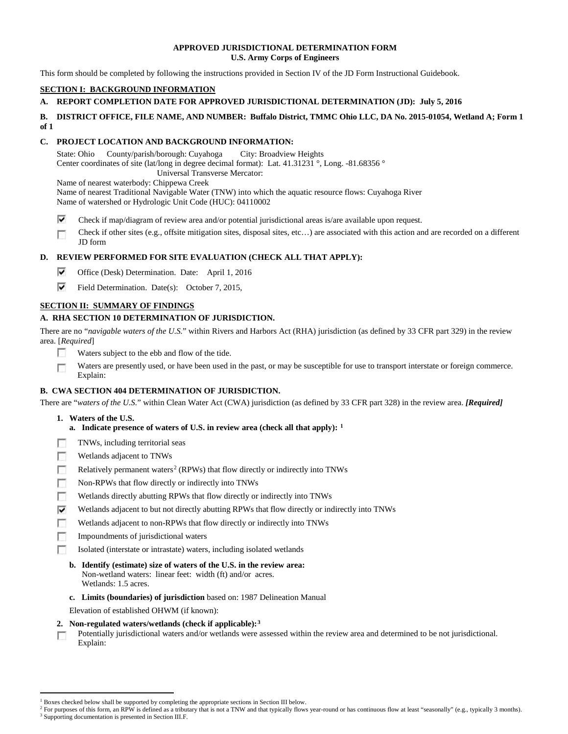### **APPROVED JURISDICTIONAL DETERMINATION FORM U.S. Army Corps of Engineers**

This form should be completed by following the instructions provided in Section IV of the JD Form Instructional Guidebook.

# **SECTION I: BACKGROUND INFORMATION**

# **A. REPORT COMPLETION DATE FOR APPROVED JURISDICTIONAL DETERMINATION (JD): July 5, 2016**

#### **B. DISTRICT OFFICE, FILE NAME, AND NUMBER: Buffalo District, TMMC Ohio LLC, DA No. 2015-01054, Wetland A; Form 1 of 1**

### **C. PROJECT LOCATION AND BACKGROUND INFORMATION:**

State: Ohio County/parish/borough: Cuyahoga City: Broadview Heights Center coordinates of site (lat/long in degree decimal format): Lat. 41.31231 °, Long. -81.68356 ° Universal Transverse Mercator:

Name of nearest waterbody: Chippewa Creek

Name of nearest Traditional Navigable Water (TNW) into which the aquatic resource flows: Cuyahoga River Name of watershed or Hydrologic Unit Code (HUC): 04110002

- ⊽ Check if map/diagram of review area and/or potential jurisdictional areas is/are available upon request.
- Check if other sites (e.g., offsite mitigation sites, disposal sites, etc…) are associated with this action and are recorded on a different п JD form

# **D. REVIEW PERFORMED FOR SITE EVALUATION (CHECK ALL THAT APPLY):**

- ⊽ Office (Desk) Determination. Date: April 1, 2016
- ⊽ Field Determination. Date(s): October 7, 2015,

# **SECTION II: SUMMARY OF FINDINGS**

# **A. RHA SECTION 10 DETERMINATION OF JURISDICTION.**

There are no "*navigable waters of the U.S.*" within Rivers and Harbors Act (RHA) jurisdiction (as defined by 33 CFR part 329) in the review area. [*Required*]

- п Waters subject to the ebb and flow of the tide.
- Waters are presently used, or have been used in the past, or may be susceptible for use to transport interstate or foreign commerce. п Explain:

# **B. CWA SECTION 404 DETERMINATION OF JURISDICTION.**

There are "*waters of the U.S.*" within Clean Water Act (CWA) jurisdiction (as defined by 33 CFR part 328) in the review area. *[Required]*

- **1. Waters of the U.S.**
	- **a. Indicate presence of waters of U.S. in review area (check all that apply): [1](#page-0-0)**
- TNWs, including territorial seas п
- Wetlands adjacent to TNWs n
- T. Relatively permanent waters<sup>[2](#page-0-1)</sup> (RPWs) that flow directly or indirectly into TNWs
- $\sim$ Non-RPWs that flow directly or indirectly into TNWs
- Wetlands directly abutting RPWs that flow directly or indirectly into TNWs n
- ⊽ Wetlands adjacent to but not directly abutting RPWs that flow directly or indirectly into TNWs
- г Wetlands adjacent to non-RPWs that flow directly or indirectly into TNWs
- Impoundments of jurisdictional waters n.
- T. Isolated (interstate or intrastate) waters, including isolated wetlands
	- **b. Identify (estimate) size of waters of the U.S. in the review area:** Non-wetland waters: linear feet: width (ft) and/or acres. Wetlands: 1.5 acres.
	- **c. Limits (boundaries) of jurisdiction** based on: 1987 Delineation Manual
	- Elevation of established OHWM (if known):
- **2. Non-regulated waters/wetlands (check if applicable):[3](#page-0-2)**
- Potentially jurisdictional waters and/or wetlands were assessed within the review area and determined to be not jurisdictional. г Explain:

<span id="page-0-0"></span><sup>&</sup>lt;sup>1</sup> Boxes checked below shall be supported by completing the appropriate sections in Section III below.

<span id="page-0-2"></span><span id="page-0-1"></span>For purposes of this form, an RPW is defined as a tributary that is not a TNW and that typically flows year-round or has continuous flow at least "seasonally" (e.g., typically 3 months). <sup>3</sup> Supporting documentation is presented in Section III.F.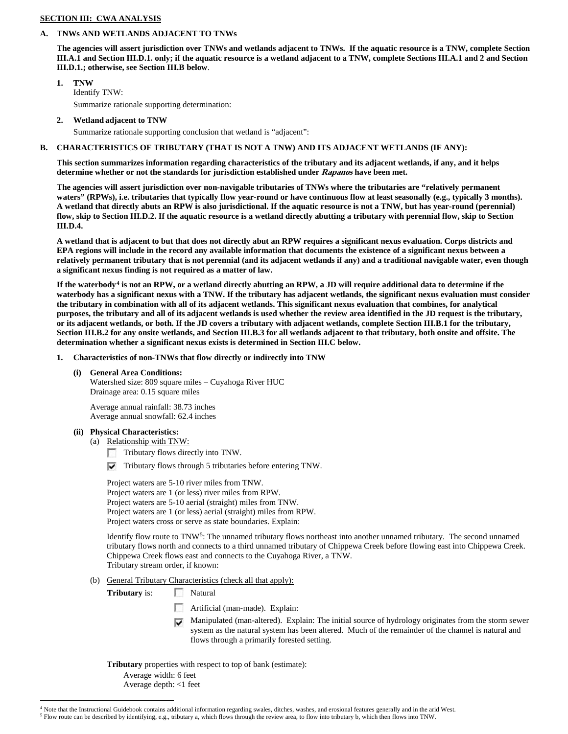### **SECTION III: CWA ANALYSIS**

# **A. TNWs AND WETLANDS ADJACENT TO TNWs**

**The agencies will assert jurisdiction over TNWs and wetlands adjacent to TNWs. If the aquatic resource is a TNW, complete Section III.A.1 and Section III.D.1. only; if the aquatic resource is a wetland adjacent to a TNW, complete Sections III.A.1 and 2 and Section III.D.1.; otherwise, see Section III.B below**.

- **1. TNW**  Identify TNW: Summarize rationale supporting determination:
- **2. Wetland adjacent to TNW**

Summarize rationale supporting conclusion that wetland is "adjacent":

### **B. CHARACTERISTICS OF TRIBUTARY (THAT IS NOT A TNW) AND ITS ADJACENT WETLANDS (IF ANY):**

**This section summarizes information regarding characteristics of the tributary and its adjacent wetlands, if any, and it helps determine whether or not the standards for jurisdiction established under Rapanos have been met.** 

**The agencies will assert jurisdiction over non-navigable tributaries of TNWs where the tributaries are "relatively permanent waters" (RPWs), i.e. tributaries that typically flow year-round or have continuous flow at least seasonally (e.g., typically 3 months). A wetland that directly abuts an RPW is also jurisdictional. If the aquatic resource is not a TNW, but has year-round (perennial) flow, skip to Section III.D.2. If the aquatic resource is a wetland directly abutting a tributary with perennial flow, skip to Section III.D.4.**

**A wetland that is adjacent to but that does not directly abut an RPW requires a significant nexus evaluation. Corps districts and EPA regions will include in the record any available information that documents the existence of a significant nexus between a relatively permanent tributary that is not perennial (and its adjacent wetlands if any) and a traditional navigable water, even though a significant nexus finding is not required as a matter of law.**

**If the waterbody[4](#page-1-0) is not an RPW, or a wetland directly abutting an RPW, a JD will require additional data to determine if the waterbody has a significant nexus with a TNW. If the tributary has adjacent wetlands, the significant nexus evaluation must consider the tributary in combination with all of its adjacent wetlands. This significant nexus evaluation that combines, for analytical purposes, the tributary and all of its adjacent wetlands is used whether the review area identified in the JD request is the tributary, or its adjacent wetlands, or both. If the JD covers a tributary with adjacent wetlands, complete Section III.B.1 for the tributary, Section III.B.2 for any onsite wetlands, and Section III.B.3 for all wetlands adjacent to that tributary, both onsite and offsite. The determination whether a significant nexus exists is determined in Section III.C below.**

- **1. Characteristics of non-TNWs that flow directly or indirectly into TNW**
	- **(i) General Area Conditions:**

Watershed size: 809 square miles – Cuyahoga River HUC Drainage area: 0.15 square miles

Average annual rainfall: 38.73 inches Average annual snowfall: 62.4 inches

# **(ii) Physical Characteristics:**

(a) Relationship with TNW:

Tributary flows directly into TNW.

 $\triangledown$  Tributary flows through 5 tributaries before entering TNW.

Project waters are 5-10 river miles from TNW. Project waters are 1 (or less) river miles from RPW. Project waters are 5-10 aerial (straight) miles from TNW. Project waters are 1 (or less) aerial (straight) miles from RPW. Project waters cross or serve as state boundaries. Explain:

Identify flow route to  $TNN<sup>5</sup>$ : The unnamed tributary flows northeast into another unnamed tributary. The second unnamed tributary flows north and connects to a third unnamed tributary of Chippewa Creek before flowing east into Chippewa Creek. Chippewa Creek flows east and connects to the Cuyahoga River, a TNW. Tributary stream order, if known:

(b) General Tributary Characteristics (check all that apply):

**Tributary** is: Natural

- Artificial (man-made). Explain:
- Manipulated (man-altered). Explain: The initial source of hydrology originates from the storm sewer system as the natural system has been altered. Much of the remainder of the channel is natural and flows through a primarily forested setting.

**Tributary** properties with respect to top of bank (estimate):

Average width: 6 feet

Average depth: <1 feet

<span id="page-1-0"></span> <sup>4</sup> Note that the Instructional Guidebook contains additional information regarding swales, ditches, washes, and erosional features generally and in the arid West.

<span id="page-1-1"></span><sup>5</sup> Flow route can be described by identifying, e.g., tributary a, which flows through the review area, to flow into tributary b, which then flows into TNW.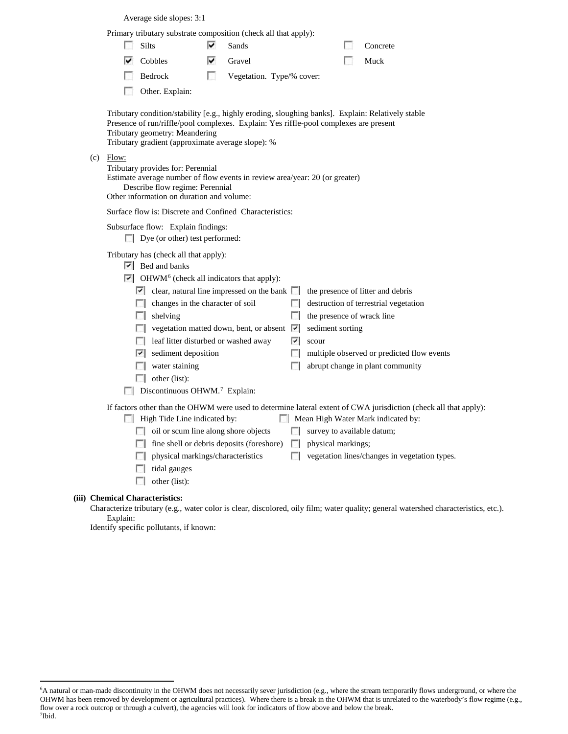Average side slopes: 3:1

|                                                                                                                                                                                                                                                                                   |                                                                                                                                                                                                           |                                                                                                                                                                                                                                                                                                                                                                                                 |    | Primary tributary substrate composition (check all that apply):                                                                                                                |             |                                                         |  |                                                                                                                                                                                                         |  |
|-----------------------------------------------------------------------------------------------------------------------------------------------------------------------------------------------------------------------------------------------------------------------------------|-----------------------------------------------------------------------------------------------------------------------------------------------------------------------------------------------------------|-------------------------------------------------------------------------------------------------------------------------------------------------------------------------------------------------------------------------------------------------------------------------------------------------------------------------------------------------------------------------------------------------|----|--------------------------------------------------------------------------------------------------------------------------------------------------------------------------------|-------------|---------------------------------------------------------|--|---------------------------------------------------------------------------------------------------------------------------------------------------------------------------------------------------------|--|
|                                                                                                                                                                                                                                                                                   |                                                                                                                                                                                                           | <b>Silts</b>                                                                                                                                                                                                                                                                                                                                                                                    | ⊽  | Sands                                                                                                                                                                          |             |                                                         |  | Concrete                                                                                                                                                                                                |  |
|                                                                                                                                                                                                                                                                                   |                                                                                                                                                                                                           | Cobbles                                                                                                                                                                                                                                                                                                                                                                                         |    | Gravel                                                                                                                                                                         |             |                                                         |  | Muck                                                                                                                                                                                                    |  |
|                                                                                                                                                                                                                                                                                   |                                                                                                                                                                                                           | Bedrock                                                                                                                                                                                                                                                                                                                                                                                         | L. | Vegetation. Type/% cover:                                                                                                                                                      |             |                                                         |  |                                                                                                                                                                                                         |  |
|                                                                                                                                                                                                                                                                                   |                                                                                                                                                                                                           | Other. Explain:                                                                                                                                                                                                                                                                                                                                                                                 |    |                                                                                                                                                                                |             |                                                         |  |                                                                                                                                                                                                         |  |
| Tributary condition/stability [e.g., highly eroding, sloughing banks]. Explain: Relatively stable<br>Presence of run/riffle/pool complexes. Explain: Yes riffle-pool complexes are present<br>Tributary geometry: Meandering<br>Tributary gradient (approximate average slope): % |                                                                                                                                                                                                           |                                                                                                                                                                                                                                                                                                                                                                                                 |    |                                                                                                                                                                                |             |                                                         |  |                                                                                                                                                                                                         |  |
| (c)                                                                                                                                                                                                                                                                               | Flow:<br>Tributary provides for: Perennial<br>Estimate average number of flow events in review area/year: 20 (or greater)<br>Describe flow regime: Perennial<br>Other information on duration and volume: |                                                                                                                                                                                                                                                                                                                                                                                                 |    |                                                                                                                                                                                |             |                                                         |  |                                                                                                                                                                                                         |  |
|                                                                                                                                                                                                                                                                                   | Surface flow is: Discrete and Confined Characteristics:                                                                                                                                                   |                                                                                                                                                                                                                                                                                                                                                                                                 |    |                                                                                                                                                                                |             |                                                         |  |                                                                                                                                                                                                         |  |
|                                                                                                                                                                                                                                                                                   | Subsurface flow: Explain findings:<br>Dye (or other) test performed:                                                                                                                                      |                                                                                                                                                                                                                                                                                                                                                                                                 |    |                                                                                                                                                                                |             |                                                         |  |                                                                                                                                                                                                         |  |
|                                                                                                                                                                                                                                                                                   |                                                                                                                                                                                                           | Tributary has (check all that apply):<br>$\triangleright$ Bed and banks<br>$\triangleright$ OHWM <sup>6</sup> (check all indicators that apply):<br>changes in the character of soil<br>$\Box$ shelving<br>leaf litter disturbed or washed away<br>$\overline{\triangledown}$ sediment deposition<br>$\Box$ water staining<br>$\Box$ other (list):<br>Discontinuous OHWM. <sup>7</sup> Explain: |    | $\vert \cdot \vert$ clear, natural line impressed on the bank $\vert \cdot \vert$ the presence of litter and debris<br>vegetation matted down, bent, or absent $\triangledown$ | 罓           | the presence of wrack line<br>sediment sorting<br>scour |  | destruction of terrestrial vegetation<br>multiple observed or predicted flow events<br>abrupt change in plant community                                                                                 |  |
|                                                                                                                                                                                                                                                                                   |                                                                                                                                                                                                           | High Tide Line indicated by:<br>oil or scum line along shore objects<br>physical markings/characteristics<br>tidal gauges<br>$\Box$ other (list):                                                                                                                                                                                                                                               |    | fine shell or debris deposits (foreshore)                                                                                                                                      | $\sim$<br>п | survey to available datum;<br>physical markings;        |  | If factors other than the OHWM were used to determine lateral extent of CWA jurisdiction (check all that apply):<br>Mean High Water Mark indicated by:<br>vegetation lines/changes in vegetation types. |  |
|                                                                                                                                                                                                                                                                                   | <b>Chemical Characteristics:</b>                                                                                                                                                                          |                                                                                                                                                                                                                                                                                                                                                                                                 |    |                                                                                                                                                                                |             |                                                         |  |                                                                                                                                                                                                         |  |

Characterize tributary (e.g., water color is clear, discolored, oily film; water quality; general watershed characteristics, etc.). Explain:

Identify specific pollutants, if known:

**(iii)** 

<span id="page-2-1"></span><span id="page-2-0"></span> <sup>6</sup> <sup>6</sup>A natural or man-made discontinuity in the OHWM does not necessarily sever jurisdiction (e.g., where the stream temporarily flows underground, or where the OHWM has been removed by development or agricultural practices). Where there is a break in the OHWM that is unrelated to the waterbody's flow regime (e.g., flow over a rock outcrop or through a culvert), the agencies will look for indicators of flow above and below the break. 7 Ibid.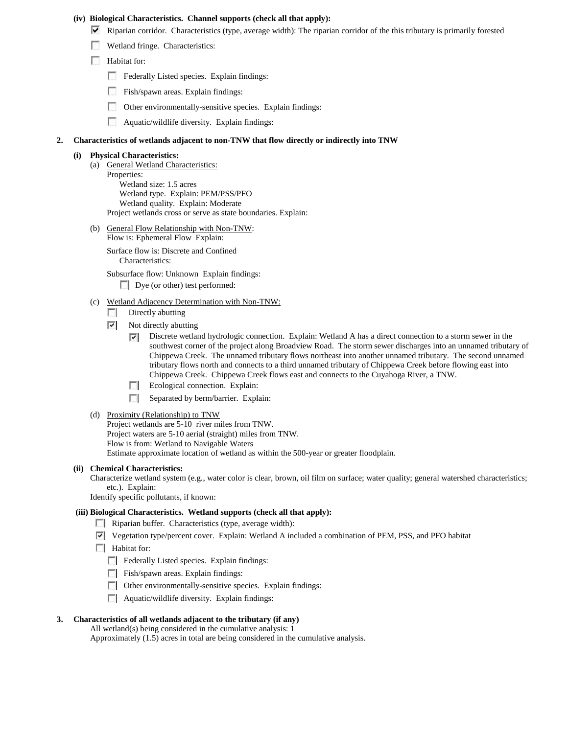#### **(iv) Biological Characteristics. Channel supports (check all that apply):**

- $\blacktriangledown$  Riparian corridor. Characteristics (type, average width): The riparian corridor of the this tributary is primarily forested
- Wetland fringe. Characteristics:
- **Habitat for:** 
	- Federally Listed species. Explain findings:
	- Fish/spawn areas. Explain findings:
	- Other environmentally-sensitive species. Explain findings:
	- Aquatic/wildlife diversity. Explain findings:

#### **2. Characteristics of wetlands adjacent to non-TNW that flow directly or indirectly into TNW**

#### **(i) Physical Characteristics:**

- (a) General Wetland Characteristics: Properties: Wetland size: 1.5 acres Wetland type. Explain: PEM/PSS/PFO Wetland quality. Explain: Moderate Project wetlands cross or serve as state boundaries. Explain:
- (b) General Flow Relationship with Non-TNW: Flow is: Ephemeral Flow Explain:

Surface flow is: Discrete and Confined Characteristics:

Subsurface flow: Unknown Explain findings:

Dye (or other) test performed:

- (c) Wetland Adjacency Determination with Non-TNW:
	- $\Box$  Directly abutting
	- $\triangledown$  Not directly abutting
		- ⊽ Discrete wetland hydrologic connection. Explain: Wetland A has a direct connection to a storm sewer in the southwest corner of the project along Broadview Road. The storm sewer discharges into an unnamed tributary of Chippewa Creek. The unnamed tributary flows northeast into another unnamed tributary. The second unnamed tributary flows north and connects to a third unnamed tributary of Chippewa Creek before flowing east into Chippewa Creek. Chippewa Creek flows east and connects to the Cuyahoga River, a TNW.
		- **Explain:** Ecological connection. Explain:
		- Separated by berm/barrier. Explain:

#### (d) Proximity (Relationship) to TNW

Project wetlands are 5-10 river miles from TNW. Project waters are 5-10 aerial (straight) miles from TNW. Flow is from: Wetland to Navigable Waters Estimate approximate location of wetland as within the 500-year or greater floodplain.

#### **(ii) Chemical Characteristics:**

Characterize wetland system (e.g., water color is clear, brown, oil film on surface; water quality; general watershed characteristics; etc.). Explain:

Identify specific pollutants, if known:

#### **(iii) Biological Characteristics. Wetland supports (check all that apply):**

- Riparian buffer. Characteristics (type, average width):
- Vegetation type/percent cover. Explain: Wetland A included a combination of PEM, PSS, and PFO habitat
- **Habitat for:** 
	- Federally Listed species. Explain findings:
	- Fish/spawn areas. Explain findings:
	- Other environmentally-sensitive species. Explain findings:
	- **Aquatic/wildlife diversity. Explain findings:**

# **3. Characteristics of all wetlands adjacent to the tributary (if any)**

All wetland(s) being considered in the cumulative analysis: 1 Approximately (1.5) acres in total are being considered in the cumulative analysis.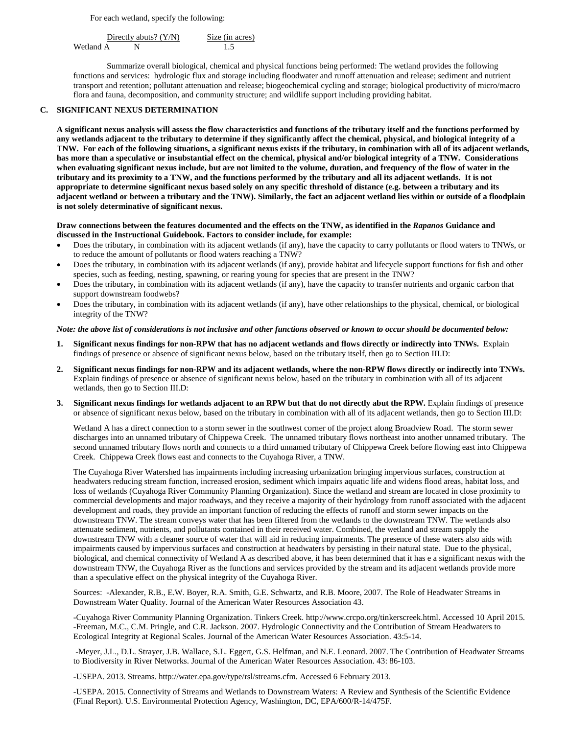For each wetland, specify the following:

Directly abuts?  $(Y/N)$  Size (in acres) Wetland A N 1.5

Summarize overall biological, chemical and physical functions being performed: The wetland provides the following functions and services: hydrologic flux and storage including floodwater and runoff attenuation and release; sediment and nutrient transport and retention; pollutant attenuation and release; biogeochemical cycling and storage; biological productivity of micro/macro flora and fauna, decomposition, and community structure; and wildlife support including providing habitat.

#### **C. SIGNIFICANT NEXUS DETERMINATION**

**A significant nexus analysis will assess the flow characteristics and functions of the tributary itself and the functions performed by any wetlands adjacent to the tributary to determine if they significantly affect the chemical, physical, and biological integrity of a TNW. For each of the following situations, a significant nexus exists if the tributary, in combination with all of its adjacent wetlands, has more than a speculative or insubstantial effect on the chemical, physical and/or biological integrity of a TNW. Considerations when evaluating significant nexus include, but are not limited to the volume, duration, and frequency of the flow of water in the tributary and its proximity to a TNW, and the functions performed by the tributary and all its adjacent wetlands. It is not appropriate to determine significant nexus based solely on any specific threshold of distance (e.g. between a tributary and its adjacent wetland or between a tributary and the TNW). Similarly, the fact an adjacent wetland lies within or outside of a floodplain is not solely determinative of significant nexus.** 

### **Draw connections between the features documented and the effects on the TNW, as identified in the** *Rapanos* **Guidance and discussed in the Instructional Guidebook. Factors to consider include, for example:**

- Does the tributary, in combination with its adjacent wetlands (if any), have the capacity to carry pollutants or flood waters to TNWs, or to reduce the amount of pollutants or flood waters reaching a TNW?
- Does the tributary, in combination with its adjacent wetlands (if any), provide habitat and lifecycle support functions for fish and other species, such as feeding, nesting, spawning, or rearing young for species that are present in the TNW?
- Does the tributary, in combination with its adjacent wetlands (if any), have the capacity to transfer nutrients and organic carbon that support downstream foodwebs?
- Does the tributary, in combination with its adjacent wetlands (if any), have other relationships to the physical, chemical, or biological integrity of the TNW?

#### *Note: the above list of considerations is not inclusive and other functions observed or known to occur should be documented below:*

- **1. Significant nexus findings for non-RPW that has no adjacent wetlands and flows directly or indirectly into TNWs.** Explain findings of presence or absence of significant nexus below, based on the tributary itself, then go to Section III.D:
- **2. Significant nexus findings for non-RPW and its adjacent wetlands, where the non-RPW flows directly or indirectly into TNWs.**  Explain findings of presence or absence of significant nexus below, based on the tributary in combination with all of its adjacent wetlands, then go to Section III.D:
- **3. Significant nexus findings for wetlands adjacent to an RPW but that do not directly abut the RPW.** Explain findings of presence or absence of significant nexus below, based on the tributary in combination with all of its adjacent wetlands, then go to Section III.D:

Wetland A has a direct connection to a storm sewer in the southwest corner of the project along Broadview Road. The storm sewer discharges into an unnamed tributary of Chippewa Creek. The unnamed tributary flows northeast into another unnamed tributary. The second unnamed tributary flows north and connects to a third unnamed tributary of Chippewa Creek before flowing east into Chippewa Creek. Chippewa Creek flows east and connects to the Cuyahoga River, a TNW.

The Cuyahoga River Watershed has impairments including increasing urbanization bringing impervious surfaces, construction at headwaters reducing stream function, increased erosion, sediment which impairs aquatic life and widens flood areas, habitat loss, and loss of wetlands (Cuyahoga River Community Planning Organization). Since the wetland and stream are located in close proximity to commercial developments and major roadways, and they receive a majority of their hydrology from runoff associated with the adjacent development and roads, they provide an important function of reducing the effects of runoff and storm sewer impacts on the downstream TNW. The stream conveys water that has been filtered from the wetlands to the downstream TNW. The wetlands also attenuate sediment, nutrients, and pollutants contained in their received water. Combined, the wetland and stream supply the downstream TNW with a cleaner source of water that will aid in reducing impairments. The presence of these waters also aids with impairments caused by impervious surfaces and construction at headwaters by persisting in their natural state. Due to the physical, biological, and chemical connectivity of Wetland A as described above, it has been determined that it has e a significant nexus with the downstream TNW, the Cuyahoga River as the functions and services provided by the stream and its adjacent wetlands provide more than a speculative effect on the physical integrity of the Cuyahoga River.

Sources: -Alexander, R.B., E.W. Boyer, R.A. Smith, G.E. Schwartz, and R.B. Moore, 2007. The Role of Headwater Streams in Downstream Water Quality. Journal of the American Water Resources Association 43.

-Cuyahoga River Community Planning Organization. Tinkers Creek. http://www.crcpo.org/tinkerscreek.html. Accessed 10 April 2015. -Freeman, M.C., C.M. Pringle, and C.R. Jackson. 2007. Hydrologic Connectivity and the Contribution of Stream Headwaters to Ecological Integrity at Regional Scales. Journal of the American Water Resources Association. 43:5-14.

-Meyer, J.L., D.L. Strayer, J.B. Wallace, S.L. Eggert, G.S. Helfman, and N.E. Leonard. 2007. The Contribution of Headwater Streams to Biodiversity in River Networks. Journal of the American Water Resources Association. 43: 86-103.

-USEPA. 2013. Streams. http://water.epa.gov/type/rsl/streams.cfm. Accessed 6 February 2013.

-USEPA. 2015. Connectivity of Streams and Wetlands to Downstream Waters: A Review and Synthesis of the Scientific Evidence (Final Report). U.S. Environmental Protection Agency, Washington, DC, EPA/600/R-14/475F.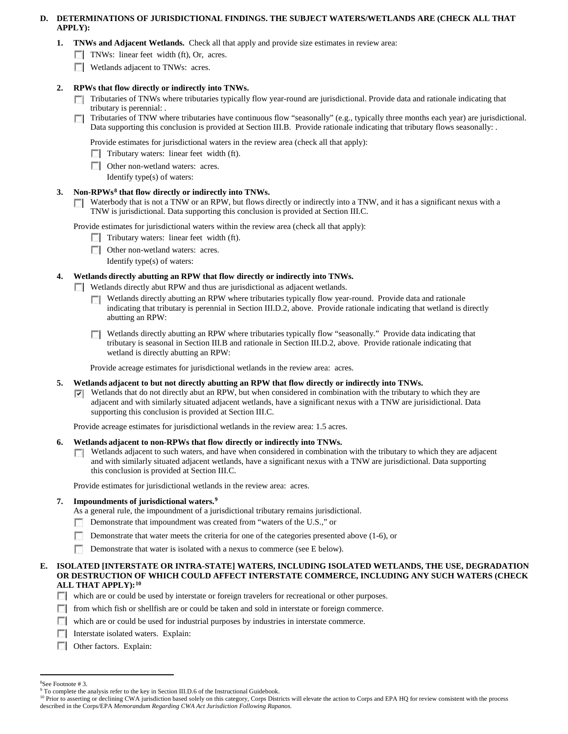# **D. DETERMINATIONS OF JURISDICTIONAL FINDINGS. THE SUBJECT WATERS/WETLANDS ARE (CHECK ALL THAT APPLY):**

- **1. TNWs and Adjacent Wetlands.** Check all that apply and provide size estimates in review area:
	- TNWs: linear feet width (ft), Or, acres.
	- **Wetlands adjacent to TNWs: acres.**

# **2. RPWs that flow directly or indirectly into TNWs.**

- $\Box$  Tributaries of TNWs where tributaries typically flow year-round are jurisdictional. Provide data and rationale indicating that tributary is perennial: .
- Tributaries of TNW where tributaries have continuous flow "seasonally" (e.g., typically three months each year) are jurisdictional. **In** Data supporting this conclusion is provided at Section III.B. Provide rationale indicating that tributary flows seasonally: .

Provide estimates for jurisdictional waters in the review area (check all that apply):

- $\Box$  Tributary waters: linear feet width (ft).
- **Other non-wetland waters: acres.** 
	- Identify type(s) of waters:

# **3. Non-RPWs[8](#page-5-0) that flow directly or indirectly into TNWs.**

 $\Box$  Waterbody that is not a TNW or an RPW, but flows directly or indirectly into a TNW, and it has a significant nexus with a TNW is jurisdictional. Data supporting this conclusion is provided at Section III.C.

Provide estimates for jurisdictional waters within the review area (check all that apply):

- $\Box$  Tributary waters: linear feet width (ft).
- **DE Other non-wetland waters: acres.** 
	- Identify type(s) of waters:

# **4. Wetlands directly abutting an RPW that flow directly or indirectly into TNWs.**

- Wetlands directly abut RPW and thus are jurisdictional as adjacent wetlands.
	- Wetlands directly abutting an RPW where tributaries typically flow year-round. Provide data and rationale ш indicating that tributary is perennial in Section III.D.2, above. Provide rationale indicating that wetland is directly abutting an RPW:
	- Wetlands directly abutting an RPW where tributaries typically flow "seasonally." Provide data indicating that tributary is seasonal in Section III.B and rationale in Section III.D.2, above. Provide rationale indicating that wetland is directly abutting an RPW:

Provide acreage estimates for jurisdictional wetlands in the review area: acres.

- **5. Wetlands adjacent to but not directly abutting an RPW that flow directly or indirectly into TNWs.**
	- $\nabla$  Wetlands that do not directly abut an RPW, but when considered in combination with the tributary to which they are adjacent and with similarly situated adjacent wetlands, have a significant nexus with a TNW are jurisidictional. Data supporting this conclusion is provided at Section III.C.

Provide acreage estimates for jurisdictional wetlands in the review area: 1.5 acres.

- **6. Wetlands adjacent to non-RPWs that flow directly or indirectly into TNWs.** 
	- Wetlands adjacent to such waters, and have when considered in combination with the tributary to which they are adjacent  $\Box$ and with similarly situated adjacent wetlands, have a significant nexus with a TNW are jurisdictional. Data supporting this conclusion is provided at Section III.C.

Provide estimates for jurisdictional wetlands in the review area: acres.

# **7. Impoundments of jurisdictional waters. [9](#page-5-1)**

As a general rule, the impoundment of a jurisdictional tributary remains jurisdictional.

- Demonstrate that impoundment was created from "waters of the U.S.," or
- Demonstrate that water meets the criteria for one of the categories presented above (1-6), or
- Demonstrate that water is isolated with a nexus to commerce (see E below).

### **E. ISOLATED [INTERSTATE OR INTRA-STATE] WATERS, INCLUDING ISOLATED WETLANDS, THE USE, DEGRADATION OR DESTRUCTION OF WHICH COULD AFFECT INTERSTATE COMMERCE, INCLUDING ANY SUCH WATERS (CHECK ALL THAT APPLY):[10](#page-5-2)**

- which are or could be used by interstate or foreign travelers for recreational or other purposes.
- $\Box$  from which fish or shellfish are or could be taken and sold in interstate or foreign commerce.
- which are or could be used for industrial purposes by industries in interstate commerce.
- Interstate isolated waters. Explain:
- **Other factors. Explain:**

 $\frac{1}{8}$ See Footnote # 3.

<span id="page-5-1"></span><span id="page-5-0"></span><sup>&</sup>lt;sup>9</sup> To complete the analysis refer to the key in Section III.D.6 of the Instructional Guidebook.

<span id="page-5-2"></span><sup>&</sup>lt;sup>10</sup> Prior to asserting or declining CWA jurisdiction based solely on this category, Corps Districts will elevate the action to Corps and EPA HQ for review consistent with the process described in the Corps/EPA *Memorandum Regarding CWA Act Jurisdiction Following Rapanos.*